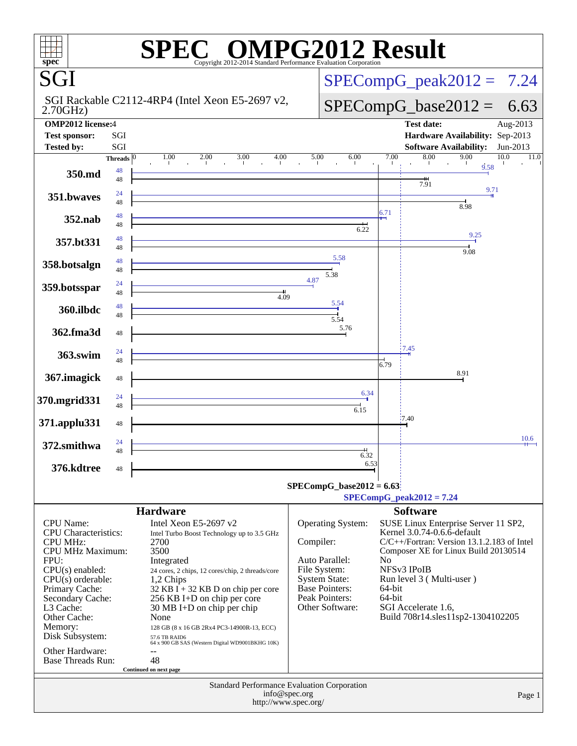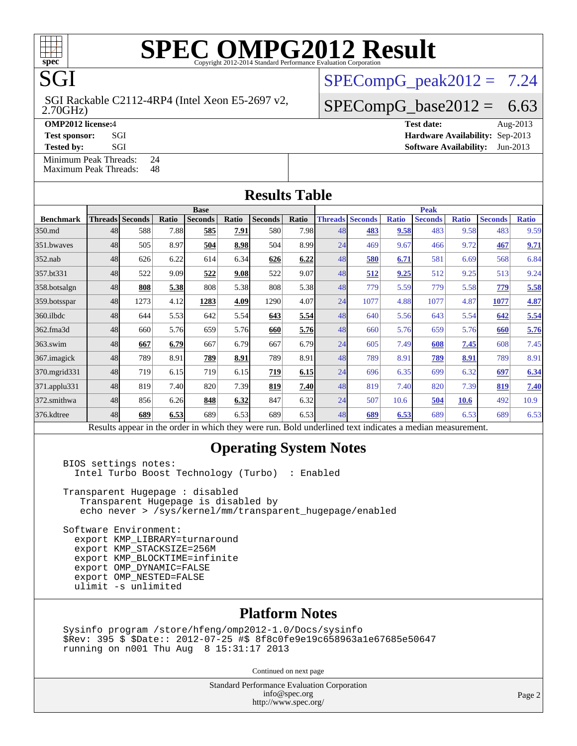# **[SPEC OMPG2012 Result](http://www.spec.org/auto/omp2012/Docs/result-fields.html#SPECOMPG2012Result)**

 $SPECompG_peak2012 = 7.24$  $SPECompG_peak2012 = 7.24$ 

 $SPECompG_base2012 = 6.63$  $SPECompG_base2012 = 6.63$ 

 2.70GHz) SGI Rackable C2112-4RP4 (Intel Xeon E5-2697 v2,

**[OMP2012 license:](http://www.spec.org/auto/omp2012/Docs/result-fields.html#OMP2012license)**4 **[Test date:](http://www.spec.org/auto/omp2012/Docs/result-fields.html#Testdate)** Aug-2013

**SGI** 

**[Test sponsor:](http://www.spec.org/auto/omp2012/Docs/result-fields.html#Testsponsor)** SGI **[Hardware Availability:](http://www.spec.org/auto/omp2012/Docs/result-fields.html#HardwareAvailability)** Sep-2013 **[Tested by:](http://www.spec.org/auto/omp2012/Docs/result-fields.html#Testedby)** SGI SOL SGI SERVICE SERVICE 2013

[Minimum Peak Threads:](http://www.spec.org/auto/omp2012/Docs/result-fields.html#MinimumPeakThreads) 24<br>Maximum Peak Threads: 48

[Maximum Peak Threads:](http://www.spec.org/auto/omp2012/Docs/result-fields.html#MaximumPeakThreads)

| <b>Results Table</b> |             |                                                                                                          |       |                |       |                |       |             |                        |              |                |              |                |              |
|----------------------|-------------|----------------------------------------------------------------------------------------------------------|-------|----------------|-------|----------------|-------|-------------|------------------------|--------------|----------------|--------------|----------------|--------------|
|                      | <b>Base</b> |                                                                                                          |       |                |       |                |       | <b>Peak</b> |                        |              |                |              |                |              |
| <b>Benchmark</b>     |             | <b>Threads Seconds</b>                                                                                   | Ratio | <b>Seconds</b> | Ratio | <b>Seconds</b> | Ratio |             | <b>Threads Seconds</b> | <b>Ratio</b> | <b>Seconds</b> | <b>Ratio</b> | <b>Seconds</b> | <b>Ratio</b> |
| 350.md               | 48          | 588                                                                                                      | 7.88  | 585            | 7.91  | 580            | 7.98  | 48          | 483                    | 9.58         | 483            | 9.58         | 483            | 9.59         |
| 351.bwaves           | 48          | 505                                                                                                      | 8.97  | 504            | 8.98  | 504            | 8.99  | 24          | 469                    | 9.67         | 466            | 9.72         | 467            | 9.71         |
| $352$ .nab           | 48          | 626                                                                                                      | 6.22  | 614            | 6.34  | 626            | 6.22  | 48          | 580                    | 6.71         | 581            | 6.69         | 568            | 6.84         |
| 357.bt331            | 48          | 522                                                                                                      | 9.09  | 522            | 9.08  | 522            | 9.07  | 48          | 512                    | 9.25         | 512            | 9.25         | 513            | 9.24         |
| 358.botsalgn         | 48          | 808                                                                                                      | 5.38  | 808            | 5.38  | 808            | 5.38  | 48          | 779                    | 5.59         | 779            | 5.58         | 779            | 5.58         |
| 359.botsspar         | 48          | 1273                                                                                                     | 4.12  | 1283           | 4.09  | 1290           | 4.07  | 24          | 1077                   | 4.88         | 1077           | 4.87         | 1077           | 4.87         |
| 360.ilbdc            | 48          | 644                                                                                                      | 5.53  | 642            | 5.54  | 643            | 5.54  | 48          | 640                    | 5.56         | 643            | 5.54         | 642            | 5.54         |
| 362.fma3d            | 48          | 660                                                                                                      | 5.76  | 659            | 5.76  | 660            | 5.76  | 48          | 660                    | 5.76         | 659            | 5.76         | 660            | 5.76         |
| 363.swim             | 48          | 667                                                                                                      | 6.79  | 667            | 6.79  | 667            | 6.79  | 24          | 605                    | 7.49         | 608            | 7.45         | 608            | 7.45         |
| 367. imagick         | 48          | 789                                                                                                      | 8.91  | 789            | 8.91  | 789            | 8.91  | 48          | 789                    | 8.91         | 789            | 8.91         | 789            | 8.91         |
| 370.mgrid331         | 48          | 719                                                                                                      | 6.15  | 719            | 6.15  | 719            | 6.15  | 24          | 696                    | 6.35         | 699            | 6.32         | 697            | 6.34         |
| 371.applu331         | 48          | 819                                                                                                      | 7.40  | 820            | 7.39  | 819            | 7.40  | 48          | 819                    | 7.40         | 820            | 7.39         | 819            | 7.40         |
| 372.smithwa          | 48          | 856                                                                                                      | 6.26  | 848            | 6.32  | 847            | 6.32  | 24          | 507                    | 10.6         | 504            | 10.6         | 492            | 10.9         |
| 376.kdtree           | 48          | 689                                                                                                      | 6.53  | 689            | 6.53  | 689            | 6.53  | 48          | 689                    | 6.53         | 689            | 6.53         | 689            | 6.53         |
|                      |             | Results appear in the order in which they were run. Bold underlined text indicates a median measurement. |       |                |       |                |       |             |                        |              |                |              |                |              |

#### **[Operating System Notes](http://www.spec.org/auto/omp2012/Docs/result-fields.html#OperatingSystemNotes)**

 BIOS settings notes: Intel Turbo Boost Technology (Turbo) : Enabled

 Transparent Hugepage : disabled Transparent Hugepage is disabled by echo never > /sys/kernel/mm/transparent\_hugepage/enabled

 Software Environment: export KMP\_LIBRARY=turnaround export KMP\_STACKSIZE=256M export KMP\_BLOCKTIME=infinite export OMP\_DYNAMIC=FALSE export OMP\_NESTED=FALSE ulimit -s unlimited

#### **[Platform Notes](http://www.spec.org/auto/omp2012/Docs/result-fields.html#PlatformNotes)**

 Sysinfo program /store/hfeng/omp2012-1.0/Docs/sysinfo \$Rev: 395 \$ \$Date:: 2012-07-25 #\$ 8f8c0fe9e19c658963a1e67685e50647 running on n001 Thu Aug 8 15:31:17 2013

Continued on next page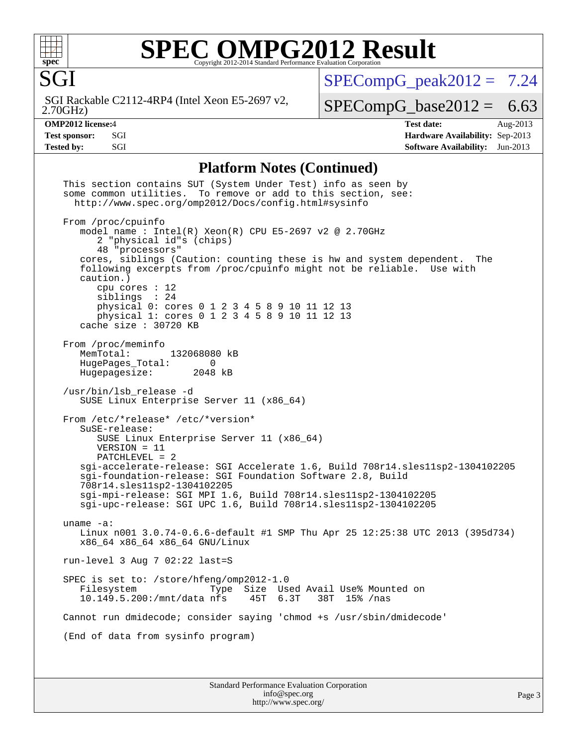

SGI

# **[SPEC OMPG2012 Result](http://www.spec.org/auto/omp2012/Docs/result-fields.html#SPECOMPG2012Result)**

 $SPECompG_peak2012 = 7.24$  $SPECompG_peak2012 = 7.24$ 

 2.70GHz) SGI Rackable C2112-4RP4 (Intel Xeon E5-2697 v2,

 $SPECompG_base2012 = 6.63$  $SPECompG_base2012 = 6.63$ 

**[OMP2012 license:](http://www.spec.org/auto/omp2012/Docs/result-fields.html#OMP2012license)**4 **[Test date:](http://www.spec.org/auto/omp2012/Docs/result-fields.html#Testdate)** Aug-2013 **[Test sponsor:](http://www.spec.org/auto/omp2012/Docs/result-fields.html#Testsponsor)** SGI **[Hardware Availability:](http://www.spec.org/auto/omp2012/Docs/result-fields.html#HardwareAvailability)** Sep-2013 **[Tested by:](http://www.spec.org/auto/omp2012/Docs/result-fields.html#Testedby)** SGI SOL SGI SERVICE SERVICE 2013

#### **[Platform Notes \(Continued\)](http://www.spec.org/auto/omp2012/Docs/result-fields.html#PlatformNotes)**

 This section contains SUT (System Under Test) info as seen by some common utilities. To remove or add to this section, see: <http://www.spec.org/omp2012/Docs/config.html#sysinfo> From /proc/cpuinfo model name : Intel(R) Xeon(R) CPU E5-2697 v2 @ 2.70GHz 2 "physical id"s (chips) 48 "processors" cores, siblings (Caution: counting these is hw and system dependent. The following excerpts from /proc/cpuinfo might not be reliable. Use with caution.) cpu cores : 12 siblings : 24 physical 0: cores 0 1 2 3 4 5 8 9 10 11 12 13 physical 1: cores 0 1 2 3 4 5 8 9 10 11 12 13 cache size : 30720 KB From /proc/meminfo MemTotal: 132068080 kB<br>HugePages Total: 0 HugePages\_Total: 0<br>Hugepagesize: 2048 kB Hugepagesize: /usr/bin/lsb\_release -d SUSE Linux Enterprise Server 11 (x86\_64) From /etc/\*release\* /etc/\*version\* SuSE-release: SUSE Linux Enterprise Server 11 (x86\_64) VERSION = 11 PATCHLEVEL = 2 sgi-accelerate-release: SGI Accelerate 1.6, Build 708r14.sles11sp2-1304102205 sgi-foundation-release: SGI Foundation Software 2.8, Build 708r14.sles11sp2-1304102205 sgi-mpi-release: SGI MPI 1.6, Build 708r14.sles11sp2-1304102205 sgi-upc-release: SGI UPC 1.6, Build 708r14.sles11sp2-1304102205 uname -a: Linux n001 3.0.74-0.6.6-default #1 SMP Thu Apr 25 12:25:38 UTC 2013 (395d734) x86\_64 x86\_64 x86\_64 GNU/Linux run-level 3 Aug 7 02:22 last=S SPEC is set to: /store/hfeng/omp2012-1.0<br>Filesystem Type Size Us Type Size Used Avail Use% Mounted on<br>nfs 45T 6.3T 38T 15% /nas  $10.149.5.200$ :/mnt/data nfs 45T 6.3T Cannot run dmidecode; consider saying 'chmod +s /usr/sbin/dmidecode' (End of data from sysinfo program)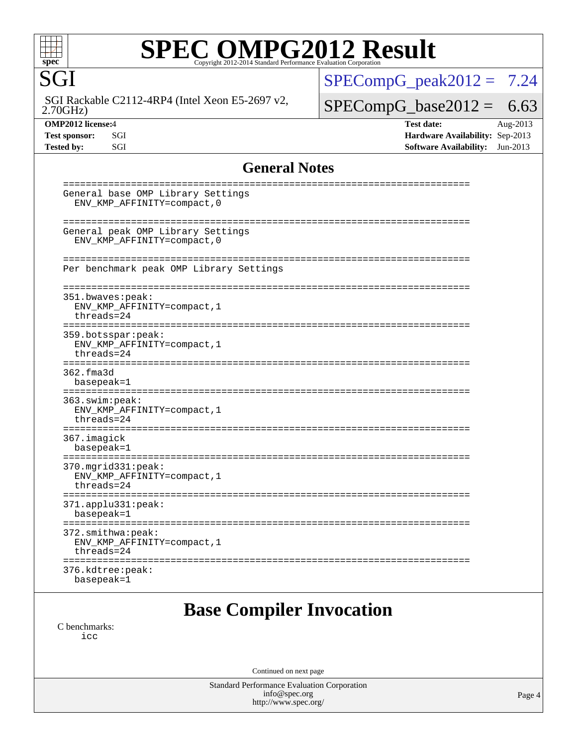# **[SPEC OMPG2012 Result](http://www.spec.org/auto/omp2012/Docs/result-fields.html#SPECOMPG2012Result)**

 2.70GHz) SGI Rackable C2112-4RP4 (Intel Xeon E5-2697 v2,

SGI

 $SPECompG_peak2012 = 7.24$  $SPECompG_peak2012 = 7.24$ 

### $SPECompG_base2012 = 6.63$  $SPECompG_base2012 = 6.63$

**[OMP2012 license:](http://www.spec.org/auto/omp2012/Docs/result-fields.html#OMP2012license)**4 **[Test date:](http://www.spec.org/auto/omp2012/Docs/result-fields.html#Testdate)** Aug-2013 **[Test sponsor:](http://www.spec.org/auto/omp2012/Docs/result-fields.html#Testsponsor)** SGI **[Hardware Availability:](http://www.spec.org/auto/omp2012/Docs/result-fields.html#HardwareAvailability)** Sep-2013 **[Tested by:](http://www.spec.org/auto/omp2012/Docs/result-fields.html#Testedby)** SGI SOFTWARE Availability: Jun-2013

#### **[General Notes](http://www.spec.org/auto/omp2012/Docs/result-fields.html#GeneralNotes)**

| General base OMP Library Settings<br>ENV_KMP_AFFINITY=compact, 0                                                                                  |  |
|---------------------------------------------------------------------------------------------------------------------------------------------------|--|
| General peak OMP Library Settings<br>ENV_KMP_AFFINITY=compact, 0                                                                                  |  |
| Per benchmark peak OMP Library Settings                                                                                                           |  |
| 351.bwaves:peak:<br>ENV_KMP_AFFINITY=compact, 1<br>$threeads = 24$                                                                                |  |
| 359.botsspar: peak:<br>ENV_KMP_AFFINITY=compact, 1<br>$threeads = 24$                                                                             |  |
| ===============<br>362.fma3d<br>basepeak=1                                                                                                        |  |
| 363.swin:peak:<br>ENV_KMP_AFFINITY=compact, 1<br>$threeads = 24$                                                                                  |  |
| 367.imagick<br>basepeak=1                                                                                                                         |  |
| 370.mgrid331:peak:<br>ENV KMP AFFINITY=compact, 1<br>$threeads = 24$                                                                              |  |
| ==================<br>371.applu331:peak:<br>basepeak=1                                                                                            |  |
| ====================================<br>==================================<br>372.smithwa:peak:<br>ENV_KMP_AFFINITY=compact, 1<br>$threeads = 24$ |  |
| 376.kdtree:peak:<br>basepeak=1                                                                                                                    |  |
| Dese Cempilen Invegetien                                                                                                                          |  |

### **[Base Compiler Invocation](http://www.spec.org/auto/omp2012/Docs/result-fields.html#BaseCompilerInvocation)**

[C benchmarks](http://www.spec.org/auto/omp2012/Docs/result-fields.html#Cbenchmarks): [icc](http://www.spec.org/omp2012/results/res2013q3/omp2012-20130903-00033.flags.html#user_CCbase_intel_icc_a87c68a857bc5ec5362391a49d3a37a6)

Continued on next page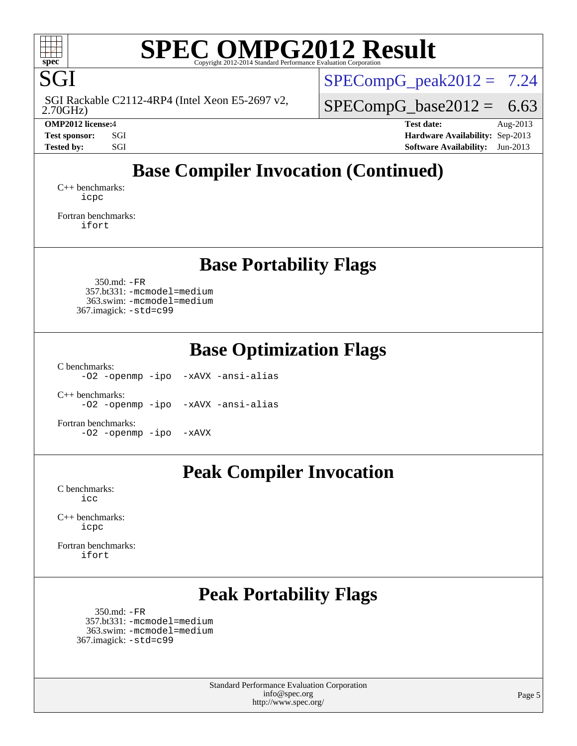

SGI

# **[SPEC OMPG2012 Result](http://www.spec.org/auto/omp2012/Docs/result-fields.html#SPECOMPG2012Result)**

 2.70GHz) SGI Rackable C2112-4RP4 (Intel Xeon E5-2697 v2,  $SPECompG_peak2012 = 7.24$  $SPECompG_peak2012 = 7.24$ 

 $SPECompG_base2012 = 6.63$  $SPECompG_base2012 = 6.63$ 

**[OMP2012 license:](http://www.spec.org/auto/omp2012/Docs/result-fields.html#OMP2012license)**4 **[Test date:](http://www.spec.org/auto/omp2012/Docs/result-fields.html#Testdate)** Aug-2013 **[Test sponsor:](http://www.spec.org/auto/omp2012/Docs/result-fields.html#Testsponsor)** SGI **[Hardware Availability:](http://www.spec.org/auto/omp2012/Docs/result-fields.html#HardwareAvailability)** Sep-2013 **[Tested by:](http://www.spec.org/auto/omp2012/Docs/result-fields.html#Testedby)** SGI SOL SGI SERVICE SERVICE 2013

### **[Base Compiler Invocation \(Continued\)](http://www.spec.org/auto/omp2012/Docs/result-fields.html#BaseCompilerInvocation)**

[C++ benchmarks:](http://www.spec.org/auto/omp2012/Docs/result-fields.html#CXXbenchmarks) [icpc](http://www.spec.org/omp2012/results/res2013q3/omp2012-20130903-00033.flags.html#user_CXXbase_intel_icpc_2d899f8d163502b12eb4a60069f80c1c)

[Fortran benchmarks](http://www.spec.org/auto/omp2012/Docs/result-fields.html#Fortranbenchmarks): [ifort](http://www.spec.org/omp2012/results/res2013q3/omp2012-20130903-00033.flags.html#user_FCbase_intel_ifort_8a5e5e06b19a251bdeaf8fdab5d62f20)

**[Base Portability Flags](http://www.spec.org/auto/omp2012/Docs/result-fields.html#BasePortabilityFlags)**

 350.md: [-FR](http://www.spec.org/omp2012/results/res2013q3/omp2012-20130903-00033.flags.html#user_baseFPORTABILITY350_md_f-FR) 357.bt331: [-mcmodel=medium](http://www.spec.org/omp2012/results/res2013q3/omp2012-20130903-00033.flags.html#user_basePORTABILITY357_bt331_f-mcmodel_3a41622424bdd074c4f0f2d2f224c7e5) 363.swim: [-mcmodel=medium](http://www.spec.org/omp2012/results/res2013q3/omp2012-20130903-00033.flags.html#user_basePORTABILITY363_swim_f-mcmodel_3a41622424bdd074c4f0f2d2f224c7e5) 367.imagick: [-std=c99](http://www.spec.org/omp2012/results/res2013q3/omp2012-20130903-00033.flags.html#user_baseCPORTABILITY367_imagick_f-std_2ec6533b6e06f1c4a6c9b78d9e9cde24)

**[Base Optimization Flags](http://www.spec.org/auto/omp2012/Docs/result-fields.html#BaseOptimizationFlags)**

[C benchmarks](http://www.spec.org/auto/omp2012/Docs/result-fields.html#Cbenchmarks):

[-O2](http://www.spec.org/omp2012/results/res2013q3/omp2012-20130903-00033.flags.html#user_CCbase_f-O2) [-openmp](http://www.spec.org/omp2012/results/res2013q3/omp2012-20130903-00033.flags.html#user_CCbase_f-openmp) [-ipo](http://www.spec.org/omp2012/results/res2013q3/omp2012-20130903-00033.flags.html#user_CCbase_f-ipo_84062ab53814f613187d02344b8f49a7) [-xAVX](http://www.spec.org/omp2012/results/res2013q3/omp2012-20130903-00033.flags.html#user_CCbase_f-xAVX) [-ansi-alias](http://www.spec.org/omp2012/results/res2013q3/omp2012-20130903-00033.flags.html#user_CCbase_f-ansi-alias)

[C++ benchmarks:](http://www.spec.org/auto/omp2012/Docs/result-fields.html#CXXbenchmarks) [-O2](http://www.spec.org/omp2012/results/res2013q3/omp2012-20130903-00033.flags.html#user_CXXbase_f-O2) [-openmp](http://www.spec.org/omp2012/results/res2013q3/omp2012-20130903-00033.flags.html#user_CXXbase_f-openmp) [-ipo](http://www.spec.org/omp2012/results/res2013q3/omp2012-20130903-00033.flags.html#user_CXXbase_f-ipo_84062ab53814f613187d02344b8f49a7) [-xAVX](http://www.spec.org/omp2012/results/res2013q3/omp2012-20130903-00033.flags.html#user_CXXbase_f-xAVX) [-ansi-alias](http://www.spec.org/omp2012/results/res2013q3/omp2012-20130903-00033.flags.html#user_CXXbase_f-ansi-alias)

[Fortran benchmarks](http://www.spec.org/auto/omp2012/Docs/result-fields.html#Fortranbenchmarks): [-O2](http://www.spec.org/omp2012/results/res2013q3/omp2012-20130903-00033.flags.html#user_FCbase_f-O2) [-openmp](http://www.spec.org/omp2012/results/res2013q3/omp2012-20130903-00033.flags.html#user_FCbase_f-openmp) [-ipo](http://www.spec.org/omp2012/results/res2013q3/omp2012-20130903-00033.flags.html#user_FCbase_f-ipo_84062ab53814f613187d02344b8f49a7) [-xAVX](http://www.spec.org/omp2012/results/res2013q3/omp2012-20130903-00033.flags.html#user_FCbase_f-xAVX)

### **[Peak Compiler Invocation](http://www.spec.org/auto/omp2012/Docs/result-fields.html#PeakCompilerInvocation)**

[C benchmarks](http://www.spec.org/auto/omp2012/Docs/result-fields.html#Cbenchmarks): [icc](http://www.spec.org/omp2012/results/res2013q3/omp2012-20130903-00033.flags.html#user_CCpeak_intel_icc_a87c68a857bc5ec5362391a49d3a37a6)

[C++ benchmarks:](http://www.spec.org/auto/omp2012/Docs/result-fields.html#CXXbenchmarks) [icpc](http://www.spec.org/omp2012/results/res2013q3/omp2012-20130903-00033.flags.html#user_CXXpeak_intel_icpc_2d899f8d163502b12eb4a60069f80c1c)

[Fortran benchmarks](http://www.spec.org/auto/omp2012/Docs/result-fields.html#Fortranbenchmarks): [ifort](http://www.spec.org/omp2012/results/res2013q3/omp2012-20130903-00033.flags.html#user_FCpeak_intel_ifort_8a5e5e06b19a251bdeaf8fdab5d62f20)

### **[Peak Portability Flags](http://www.spec.org/auto/omp2012/Docs/result-fields.html#PeakPortabilityFlags)**

 350.md: [-FR](http://www.spec.org/omp2012/results/res2013q3/omp2012-20130903-00033.flags.html#user_peakFPORTABILITY350_md_f-FR) 357.bt331: [-mcmodel=medium](http://www.spec.org/omp2012/results/res2013q3/omp2012-20130903-00033.flags.html#user_peakPORTABILITY357_bt331_f-mcmodel_3a41622424bdd074c4f0f2d2f224c7e5) 363.swim: [-mcmodel=medium](http://www.spec.org/omp2012/results/res2013q3/omp2012-20130903-00033.flags.html#user_peakPORTABILITY363_swim_f-mcmodel_3a41622424bdd074c4f0f2d2f224c7e5) 367.imagick: [-std=c99](http://www.spec.org/omp2012/results/res2013q3/omp2012-20130903-00033.flags.html#user_peakCPORTABILITY367_imagick_f-std_2ec6533b6e06f1c4a6c9b78d9e9cde24)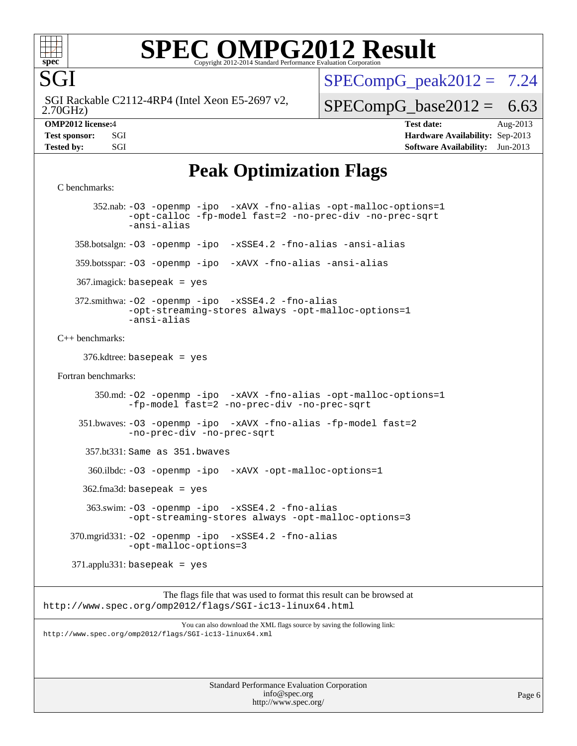

SGI

# **[SPEC OMPG2012 Result](http://www.spec.org/auto/omp2012/Docs/result-fields.html#SPECOMPG2012Result)**

 2.70GHz) SGI Rackable C2112-4RP4 (Intel Xeon E5-2697 v2,  $SPECompG_peak2012 = 7.24$  $SPECompG_peak2012 = 7.24$ 

 $SPECompG_base2012 = 6.63$  $SPECompG_base2012 = 6.63$ 

**[OMP2012 license:](http://www.spec.org/auto/omp2012/Docs/result-fields.html#OMP2012license)**4 **[Test date:](http://www.spec.org/auto/omp2012/Docs/result-fields.html#Testdate)** Aug-2013 **[Test sponsor:](http://www.spec.org/auto/omp2012/Docs/result-fields.html#Testsponsor)** SGI **[Hardware Availability:](http://www.spec.org/auto/omp2012/Docs/result-fields.html#HardwareAvailability)** Sep-2013 **[Tested by:](http://www.spec.org/auto/omp2012/Docs/result-fields.html#Testedby)** SGI SGI SOFTWARE AVAILABILITY: Jun-2013

### **[Peak Optimization Flags](http://www.spec.org/auto/omp2012/Docs/result-fields.html#PeakOptimizationFlags)**

[C benchmarks](http://www.spec.org/auto/omp2012/Docs/result-fields.html#Cbenchmarks):

 352.nab: [-O3](http://www.spec.org/omp2012/results/res2013q3/omp2012-20130903-00033.flags.html#user_peakOPTIMIZE352_nab_f-O3) [-openmp](http://www.spec.org/omp2012/results/res2013q3/omp2012-20130903-00033.flags.html#user_peakOPTIMIZE352_nab_f-openmp) [-ipo](http://www.spec.org/omp2012/results/res2013q3/omp2012-20130903-00033.flags.html#user_peakOPTIMIZE352_nab_f-ipo_84062ab53814f613187d02344b8f49a7) [-xAVX](http://www.spec.org/omp2012/results/res2013q3/omp2012-20130903-00033.flags.html#user_peakOPTIMIZE352_nab_f-xAVX) [-fno-alias](http://www.spec.org/omp2012/results/res2013q3/omp2012-20130903-00033.flags.html#user_peakOPTIMIZE352_nab_f-no-alias_694e77f6c5a51e658e82ccff53a9e63a) [-opt-malloc-options=1](http://www.spec.org/omp2012/results/res2013q3/omp2012-20130903-00033.flags.html#user_peakOPTIMIZE352_nab_f-opt-malloc-options_d882ffc6ff87e51efe45f9a5190004b0) [-opt-calloc](http://www.spec.org/omp2012/results/res2013q3/omp2012-20130903-00033.flags.html#user_peakOPTIMIZE352_nab_f-opt-calloc) [-fp-model fast=2](http://www.spec.org/omp2012/results/res2013q3/omp2012-20130903-00033.flags.html#user_peakOPTIMIZE352_nab_f-fp-model_a7fb8ccb7275e23f0079632c153cfcab) [-no-prec-div](http://www.spec.org/omp2012/results/res2013q3/omp2012-20130903-00033.flags.html#user_peakOPTIMIZE352_nab_f-no-prec-div) [-no-prec-sqrt](http://www.spec.org/omp2012/results/res2013q3/omp2012-20130903-00033.flags.html#user_peakOPTIMIZE352_nab_f-no-prec-sqrt) [-ansi-alias](http://www.spec.org/omp2012/results/res2013q3/omp2012-20130903-00033.flags.html#user_peakCOPTIMIZE352_nab_f-ansi-alias) 358.botsalgn: [-O3](http://www.spec.org/omp2012/results/res2013q3/omp2012-20130903-00033.flags.html#user_peakOPTIMIZE358_botsalgn_f-O3) [-openmp](http://www.spec.org/omp2012/results/res2013q3/omp2012-20130903-00033.flags.html#user_peakOPTIMIZE358_botsalgn_f-openmp) [-ipo](http://www.spec.org/omp2012/results/res2013q3/omp2012-20130903-00033.flags.html#user_peakOPTIMIZE358_botsalgn_f-ipo_84062ab53814f613187d02344b8f49a7) [-xSSE4.2](http://www.spec.org/omp2012/results/res2013q3/omp2012-20130903-00033.flags.html#user_peakOPTIMIZE358_botsalgn_f-xSSE42_f91528193cf0b216347adb8b939d4107) [-fno-alias](http://www.spec.org/omp2012/results/res2013q3/omp2012-20130903-00033.flags.html#user_peakOPTIMIZE358_botsalgn_f-no-alias_694e77f6c5a51e658e82ccff53a9e63a) [-ansi-alias](http://www.spec.org/omp2012/results/res2013q3/omp2012-20130903-00033.flags.html#user_peakCOPTIMIZE358_botsalgn_f-ansi-alias) 359.botsspar: [-O3](http://www.spec.org/omp2012/results/res2013q3/omp2012-20130903-00033.flags.html#user_peakOPTIMIZE359_botsspar_f-O3) [-openmp](http://www.spec.org/omp2012/results/res2013q3/omp2012-20130903-00033.flags.html#user_peakOPTIMIZE359_botsspar_f-openmp) [-ipo](http://www.spec.org/omp2012/results/res2013q3/omp2012-20130903-00033.flags.html#user_peakOPTIMIZE359_botsspar_f-ipo_84062ab53814f613187d02344b8f49a7) [-xAVX](http://www.spec.org/omp2012/results/res2013q3/omp2012-20130903-00033.flags.html#user_peakOPTIMIZE359_botsspar_f-xAVX) [-fno-alias](http://www.spec.org/omp2012/results/res2013q3/omp2012-20130903-00033.flags.html#user_peakOPTIMIZE359_botsspar_f-no-alias_694e77f6c5a51e658e82ccff53a9e63a) [-ansi-alias](http://www.spec.org/omp2012/results/res2013q3/omp2012-20130903-00033.flags.html#user_peakCOPTIMIZE359_botsspar_f-ansi-alias) 367.imagick: basepeak = yes 372.smithwa: [-O2](http://www.spec.org/omp2012/results/res2013q3/omp2012-20130903-00033.flags.html#user_peakOPTIMIZE372_smithwa_f-O2) [-openmp](http://www.spec.org/omp2012/results/res2013q3/omp2012-20130903-00033.flags.html#user_peakOPTIMIZE372_smithwa_f-openmp) [-ipo](http://www.spec.org/omp2012/results/res2013q3/omp2012-20130903-00033.flags.html#user_peakOPTIMIZE372_smithwa_f-ipo_84062ab53814f613187d02344b8f49a7) [-xSSE4.2](http://www.spec.org/omp2012/results/res2013q3/omp2012-20130903-00033.flags.html#user_peakOPTIMIZE372_smithwa_f-xSSE42_f91528193cf0b216347adb8b939d4107) [-fno-alias](http://www.spec.org/omp2012/results/res2013q3/omp2012-20130903-00033.flags.html#user_peakOPTIMIZE372_smithwa_f-no-alias_694e77f6c5a51e658e82ccff53a9e63a) [-opt-streaming-stores always](http://www.spec.org/omp2012/results/res2013q3/omp2012-20130903-00033.flags.html#user_peakOPTIMIZE372_smithwa_f-opt-streaming-stores-always_66f55dbc532842151ebc4c82f4f5b019) [-opt-malloc-options=1](http://www.spec.org/omp2012/results/res2013q3/omp2012-20130903-00033.flags.html#user_peakOPTIMIZE372_smithwa_f-opt-malloc-options_d882ffc6ff87e51efe45f9a5190004b0) [-ansi-alias](http://www.spec.org/omp2012/results/res2013q3/omp2012-20130903-00033.flags.html#user_peakCOPTIMIZE372_smithwa_f-ansi-alias) [C++ benchmarks:](http://www.spec.org/auto/omp2012/Docs/result-fields.html#CXXbenchmarks) 376.kdtree: basepeak = yes [Fortran benchmarks](http://www.spec.org/auto/omp2012/Docs/result-fields.html#Fortranbenchmarks): 350.md: [-O2](http://www.spec.org/omp2012/results/res2013q3/omp2012-20130903-00033.flags.html#user_peakOPTIMIZE350_md_f-O2) [-openmp](http://www.spec.org/omp2012/results/res2013q3/omp2012-20130903-00033.flags.html#user_peakOPTIMIZE350_md_f-openmp) [-ipo](http://www.spec.org/omp2012/results/res2013q3/omp2012-20130903-00033.flags.html#user_peakOPTIMIZE350_md_f-ipo_84062ab53814f613187d02344b8f49a7) [-xAVX](http://www.spec.org/omp2012/results/res2013q3/omp2012-20130903-00033.flags.html#user_peakOPTIMIZE350_md_f-xAVX) [-fno-alias](http://www.spec.org/omp2012/results/res2013q3/omp2012-20130903-00033.flags.html#user_peakOPTIMIZE350_md_f-no-alias_694e77f6c5a51e658e82ccff53a9e63a) [-opt-malloc-options=1](http://www.spec.org/omp2012/results/res2013q3/omp2012-20130903-00033.flags.html#user_peakOPTIMIZE350_md_f-opt-malloc-options_d882ffc6ff87e51efe45f9a5190004b0) [-fp-model fast=2](http://www.spec.org/omp2012/results/res2013q3/omp2012-20130903-00033.flags.html#user_peakFOPTIMIZE350_md_f-fp-model_a7fb8ccb7275e23f0079632c153cfcab) [-no-prec-div](http://www.spec.org/omp2012/results/res2013q3/omp2012-20130903-00033.flags.html#user_peakFOPTIMIZE350_md_f-no-prec-div) [-no-prec-sqrt](http://www.spec.org/omp2012/results/res2013q3/omp2012-20130903-00033.flags.html#user_peakFOPTIMIZE350_md_f-no-prec-sqrt) 351.bwaves: [-O3](http://www.spec.org/omp2012/results/res2013q3/omp2012-20130903-00033.flags.html#user_peakOPTIMIZE351_bwaves_f-O3) [-openmp](http://www.spec.org/omp2012/results/res2013q3/omp2012-20130903-00033.flags.html#user_peakOPTIMIZE351_bwaves_f-openmp) [-ipo](http://www.spec.org/omp2012/results/res2013q3/omp2012-20130903-00033.flags.html#user_peakOPTIMIZE351_bwaves_f-ipo_84062ab53814f613187d02344b8f49a7) [-xAVX](http://www.spec.org/omp2012/results/res2013q3/omp2012-20130903-00033.flags.html#user_peakOPTIMIZE351_bwaves_f-xAVX) [-fno-alias](http://www.spec.org/omp2012/results/res2013q3/omp2012-20130903-00033.flags.html#user_peakOPTIMIZE351_bwaves_f-no-alias_694e77f6c5a51e658e82ccff53a9e63a) [-fp-model fast=2](http://www.spec.org/omp2012/results/res2013q3/omp2012-20130903-00033.flags.html#user_peakFOPTIMIZE351_bwaves_f-fp-model_a7fb8ccb7275e23f0079632c153cfcab) [-no-prec-div](http://www.spec.org/omp2012/results/res2013q3/omp2012-20130903-00033.flags.html#user_peakFOPTIMIZE351_bwaves_f-no-prec-div) [-no-prec-sqrt](http://www.spec.org/omp2012/results/res2013q3/omp2012-20130903-00033.flags.html#user_peakFOPTIMIZE351_bwaves_f-no-prec-sqrt) 357.bt331: Same as 351.bwaves 360.ilbdc: [-O3](http://www.spec.org/omp2012/results/res2013q3/omp2012-20130903-00033.flags.html#user_peakOPTIMIZE360_ilbdc_f-O3) [-openmp](http://www.spec.org/omp2012/results/res2013q3/omp2012-20130903-00033.flags.html#user_peakOPTIMIZE360_ilbdc_f-openmp) [-ipo](http://www.spec.org/omp2012/results/res2013q3/omp2012-20130903-00033.flags.html#user_peakOPTIMIZE360_ilbdc_f-ipo_84062ab53814f613187d02344b8f49a7) [-xAVX](http://www.spec.org/omp2012/results/res2013q3/omp2012-20130903-00033.flags.html#user_peakOPTIMIZE360_ilbdc_f-xAVX) [-opt-malloc-options=1](http://www.spec.org/omp2012/results/res2013q3/omp2012-20130903-00033.flags.html#user_peakOPTIMIZE360_ilbdc_f-opt-malloc-options_d882ffc6ff87e51efe45f9a5190004b0)  $362$ .fma3d: basepeak = yes 363.swim: [-O3](http://www.spec.org/omp2012/results/res2013q3/omp2012-20130903-00033.flags.html#user_peakOPTIMIZE363_swim_f-O3) [-openmp](http://www.spec.org/omp2012/results/res2013q3/omp2012-20130903-00033.flags.html#user_peakOPTIMIZE363_swim_f-openmp) [-ipo](http://www.spec.org/omp2012/results/res2013q3/omp2012-20130903-00033.flags.html#user_peakOPTIMIZE363_swim_f-ipo_84062ab53814f613187d02344b8f49a7) [-xSSE4.2](http://www.spec.org/omp2012/results/res2013q3/omp2012-20130903-00033.flags.html#user_peakOPTIMIZE363_swim_f-xSSE42_f91528193cf0b216347adb8b939d4107) [-fno-alias](http://www.spec.org/omp2012/results/res2013q3/omp2012-20130903-00033.flags.html#user_peakOPTIMIZE363_swim_f-no-alias_694e77f6c5a51e658e82ccff53a9e63a) [-opt-streaming-stores always](http://www.spec.org/omp2012/results/res2013q3/omp2012-20130903-00033.flags.html#user_peakOPTIMIZE363_swim_f-opt-streaming-stores-always_66f55dbc532842151ebc4c82f4f5b019) [-opt-malloc-options=3](http://www.spec.org/omp2012/results/res2013q3/omp2012-20130903-00033.flags.html#user_peakOPTIMIZE363_swim_f-opt-malloc-options_13ab9b803cf986b4ee62f0a5998c2238) 370.mgrid331: [-O2](http://www.spec.org/omp2012/results/res2013q3/omp2012-20130903-00033.flags.html#user_peakOPTIMIZE370_mgrid331_f-O2) [-openmp](http://www.spec.org/omp2012/results/res2013q3/omp2012-20130903-00033.flags.html#user_peakOPTIMIZE370_mgrid331_f-openmp) [-ipo](http://www.spec.org/omp2012/results/res2013q3/omp2012-20130903-00033.flags.html#user_peakOPTIMIZE370_mgrid331_f-ipo_84062ab53814f613187d02344b8f49a7) [-xSSE4.2](http://www.spec.org/omp2012/results/res2013q3/omp2012-20130903-00033.flags.html#user_peakOPTIMIZE370_mgrid331_f-xSSE42_f91528193cf0b216347adb8b939d4107) [-fno-alias](http://www.spec.org/omp2012/results/res2013q3/omp2012-20130903-00033.flags.html#user_peakOPTIMIZE370_mgrid331_f-no-alias_694e77f6c5a51e658e82ccff53a9e63a) [-opt-malloc-options=3](http://www.spec.org/omp2012/results/res2013q3/omp2012-20130903-00033.flags.html#user_peakOPTIMIZE370_mgrid331_f-opt-malloc-options_13ab9b803cf986b4ee62f0a5998c2238) 371.applu331: basepeak = yes The flags file that was used to format this result can be browsed at <http://www.spec.org/omp2012/flags/SGI-ic13-linux64.html> You can also download the XML flags source by saving the following link: <http://www.spec.org/omp2012/flags/SGI-ic13-linux64.xml>